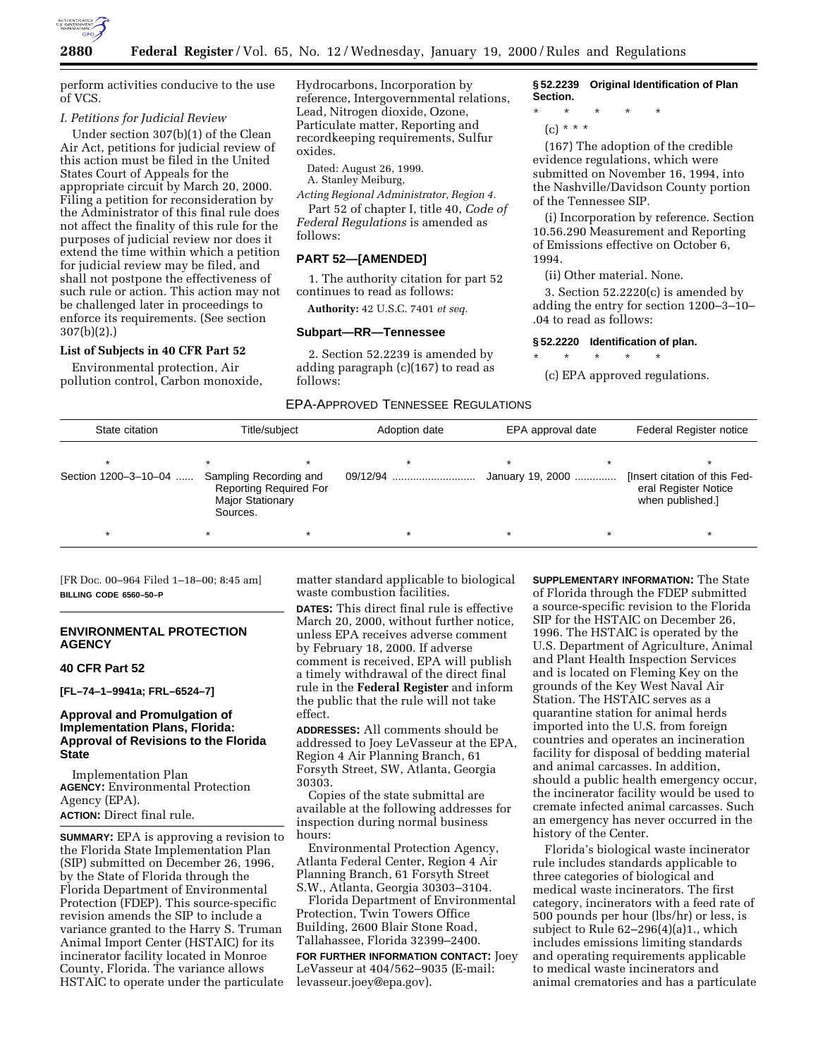

perform activities conducive to the use of VCS.

#### *I. Petitions for Judicial Review*

Under section 307(b)(1) of the Clean Air Act, petitions for judicial review of this action must be filed in the United States Court of Appeals for the appropriate circuit by March 20, 2000. Filing a petition for reconsideration by the Administrator of this final rule does not affect the finality of this rule for the purposes of judicial review nor does it extend the time within which a petition for judicial review may be filed, and shall not postpone the effectiveness of such rule or action. This action may not be challenged later in proceedings to enforce its requirements. (See section 307(b)(2).)

# **List of Subjects in 40 CFR Part 52**

Environmental protection, Air pollution control, Carbon monoxide,

Hydrocarbons, Incorporation by reference, Intergovernmental relations, Lead, Nitrogen dioxide, Ozone, Particulate matter, Reporting and recordkeeping requirements, Sulfur oxides.

Dated: August 26, 1999.

A. Stanley Meiburg,

*Acting Regional Administrator, Region 4.* Part 52 of chapter I, title 40, *Code of*

*Federal Regulations* is amended as follows:

## **PART 52—[AMENDED]**

1. The authority citation for part 52 continues to read as follows:

**Authority:** 42 U.S.C. 7401 *et seq.*

#### **Subpart—RR—Tennessee**

2. Section 52.2239 is amended by adding paragraph (c)(167) to read as follows:

**§ 52.2239 Original Identification of Plan Section.**

\* \* \* \* \*

(c) \* \* \*

(167) The adoption of the credible evidence regulations, which were submitted on November 16, 1994, into the Nashville/Davidson County portion of the Tennessee SIP.

(i) Incorporation by reference. Section 10.56.290 Measurement and Reporting of Emissions effective on October 6, 1994.

(ii) Other material. None.

3. Section 52.2220(c) is amended by adding the entry for section 1200–3–10– .04 to read as follows:

#### **§ 52.2220 Identification of plan.**

\* \* \* \* \* (c) EPA approved regulations.

EPA-APPROVED TENNESSEE REGULATIONS

| State citation       | Title/subject                                                                                  | Adoption date | EPA approval date | Federal Register notice                                                   |  |
|----------------------|------------------------------------------------------------------------------------------------|---------------|-------------------|---------------------------------------------------------------------------|--|
| Section 1200-3-10-04 | Sampling Recording and<br><b>Reporting Required For</b><br><b>Major Stationary</b><br>Sources. | 09/12/94      | January 19, 2000  | [Insert citation of this Fed-<br>eral Register Notice<br>when published.] |  |
|                      | ∗                                                                                              | $\star$       |                   | $\star$                                                                   |  |

[FR Doc. 00–964 Filed 1–18–00; 8:45 am] **BILLING CODE 6560–50–P**

# **ENVIRONMENTAL PROTECTION AGENCY**

#### **40 CFR Part 52**

**[FL–74–1–9941a; FRL–6524–7]**

# **Approval and Promulgation of Implementation Plans, Florida: Approval of Revisions to the Florida State**

Implementation Plan **AGENCY:** Environmental Protection Agency (EPA). **ACTION:** Direct final rule.

**SUMMARY:** EPA is approving a revision to the Florida State Implementation Plan (SIP) submitted on December 26, 1996, by the State of Florida through the Florida Department of Environmental Protection (FDEP). This source-specific revision amends the SIP to include a variance granted to the Harry S. Truman Animal Import Center (HSTAIC) for its incinerator facility located in Monroe County, Florida. The variance allows HSTAIC to operate under the particulate

matter standard applicable to biological waste combustion facilities.

**DATES:** This direct final rule is effective March 20, 2000, without further notice, unless EPA receives adverse comment by February 18, 2000. If adverse comment is received, EPA will publish a timely withdrawal of the direct final rule in the **Federal Register** and inform the public that the rule will not take effect.

**ADDRESSES:** All comments should be addressed to Joey LeVasseur at the EPA, Region 4 Air Planning Branch, 61 Forsyth Street, SW, Atlanta, Georgia 30303.

Copies of the state submittal are available at the following addresses for inspection during normal business hours:

Environmental Protection Agency, Atlanta Federal Center, Region 4 Air Planning Branch, 61 Forsyth Street S.W., Atlanta, Georgia 30303–3104.

Florida Department of Environmental Protection, Twin Towers Office Building, 2600 Blair Stone Road, Tallahassee, Florida 32399–2400.

**FOR FURTHER INFORMATION CONTACT:** Joey LeVasseur at 404/562–9035 (E-mail: levasseur.joey@epa.gov).

**SUPPLEMENTARY INFORMATION:** The State of Florida through the FDEP submitted a source-specific revision to the Florida SIP for the HSTAIC on December 26, 1996. The HSTAIC is operated by the U.S. Department of Agriculture, Animal and Plant Health Inspection Services and is located on Fleming Key on the grounds of the Key West Naval Air Station. The HSTAIC serves as a quarantine station for animal herds imported into the U.S. from foreign countries and operates an incineration facility for disposal of bedding material and animal carcasses. In addition, should a public health emergency occur, the incinerator facility would be used to cremate infected animal carcasses. Such an emergency has never occurred in the history of the Center.

Florida's biological waste incinerator rule includes standards applicable to three categories of biological and medical waste incinerators. The first category, incinerators with a feed rate of 500 pounds per hour (lbs/hr) or less, is subject to Rule 62–296(4)(a)1., which includes emissions limiting standards and operating requirements applicable to medical waste incinerators and animal crematories and has a particulate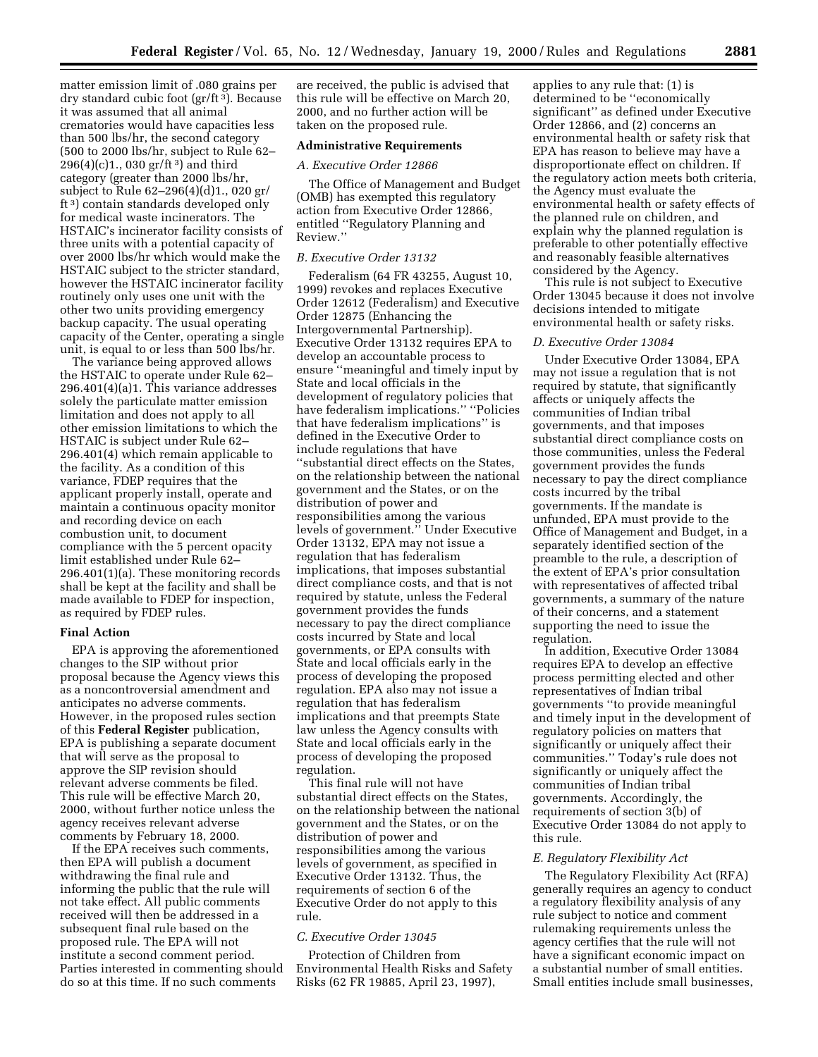matter emission limit of .080 grains per dry standard cubic foot (gr/ft 3). Because it was assumed that all animal crematories would have capacities less than 500 lbs/hr, the second category (500 to 2000 lbs/hr, subject to Rule 62– 296(4)(c)1., 030 gr/ft 3) and third category (greater than 2000 lbs/hr, subject to Rule 62–296(4)(d)1., 020 gr/ ft 3) contain standards developed only for medical waste incinerators. The HSTAIC's incinerator facility consists of three units with a potential capacity of over 2000 lbs/hr which would make the HSTAIC subject to the stricter standard, however the HSTAIC incinerator facility routinely only uses one unit with the other two units providing emergency backup capacity. The usual operating capacity of the Center, operating a single unit, is equal to or less than 500 lbs/hr.

The variance being approved allows the HSTAIC to operate under Rule 62– 296.401(4)(a)1. This variance addresses solely the particulate matter emission limitation and does not apply to all other emission limitations to which the HSTAIC is subject under Rule 62– 296.401(4) which remain applicable to the facility. As a condition of this variance, FDEP requires that the applicant properly install, operate and maintain a continuous opacity monitor and recording device on each combustion unit, to document compliance with the 5 percent opacity limit established under Rule 62– 296.401(1)(a). These monitoring records shall be kept at the facility and shall be made available to FDEP for inspection, as required by FDEP rules.

#### **Final Action**

EPA is approving the aforementioned changes to the SIP without prior proposal because the Agency views this as a noncontroversial amendment and anticipates no adverse comments. However, in the proposed rules section of this **Federal Register** publication, EPA is publishing a separate document that will serve as the proposal to approve the SIP revision should relevant adverse comments be filed. This rule will be effective March 20, 2000, without further notice unless the agency receives relevant adverse comments by February 18, 2000.

If the EPA receives such comments, then EPA will publish a document withdrawing the final rule and informing the public that the rule will not take effect. All public comments received will then be addressed in a subsequent final rule based on the proposed rule. The EPA will not institute a second comment period. Parties interested in commenting should do so at this time. If no such comments

are received, the public is advised that this rule will be effective on March 20, 2000, and no further action will be taken on the proposed rule.

# **Administrative Requirements**

### *A. Executive Order 12866*

The Office of Management and Budget (OMB) has exempted this regulatory action from Executive Order 12866, entitled ''Regulatory Planning and Review.''

### *B. Executive Order 13132*

Federalism (64 FR 43255, August 10, 1999) revokes and replaces Executive Order 12612 (Federalism) and Executive Order 12875 (Enhancing the Intergovernmental Partnership). Executive Order 13132 requires EPA to develop an accountable process to ensure ''meaningful and timely input by State and local officials in the development of regulatory policies that have federalism implications.'' ''Policies that have federalism implications'' is defined in the Executive Order to include regulations that have ''substantial direct effects on the States, on the relationship between the national government and the States, or on the distribution of power and responsibilities among the various levels of government.'' Under Executive Order 13132, EPA may not issue a regulation that has federalism implications, that imposes substantial direct compliance costs, and that is not required by statute, unless the Federal government provides the funds necessary to pay the direct compliance costs incurred by State and local governments, or EPA consults with State and local officials early in the process of developing the proposed regulation. EPA also may not issue a regulation that has federalism implications and that preempts State law unless the Agency consults with State and local officials early in the process of developing the proposed regulation.

This final rule will not have substantial direct effects on the States, on the relationship between the national government and the States, or on the distribution of power and responsibilities among the various levels of government, as specified in Executive Order 13132. Thus, the requirements of section 6 of the Executive Order do not apply to this rule.

### *C. Executive Order 13045*

Protection of Children from Environmental Health Risks and Safety Risks (62 FR 19885, April 23, 1997),

applies to any rule that: (1) is determined to be ''economically significant'' as defined under Executive Order 12866, and (2) concerns an environmental health or safety risk that EPA has reason to believe may have a disproportionate effect on children. If the regulatory action meets both criteria, the Agency must evaluate the environmental health or safety effects of the planned rule on children, and explain why the planned regulation is preferable to other potentially effective and reasonably feasible alternatives considered by the Agency.

This rule is not subject to Executive Order 13045 because it does not involve decisions intended to mitigate environmental health or safety risks.

### *D. Executive Order 13084*

Under Executive Order 13084, EPA may not issue a regulation that is not required by statute, that significantly affects or uniquely affects the communities of Indian tribal governments, and that imposes substantial direct compliance costs on those communities, unless the Federal government provides the funds necessary to pay the direct compliance costs incurred by the tribal governments. If the mandate is unfunded, EPA must provide to the Office of Management and Budget, in a separately identified section of the preamble to the rule, a description of the extent of EPA's prior consultation with representatives of affected tribal governments, a summary of the nature of their concerns, and a statement supporting the need to issue the regulation.

In addition, Executive Order 13084 requires EPA to develop an effective process permitting elected and other representatives of Indian tribal governments ''to provide meaningful and timely input in the development of regulatory policies on matters that significantly or uniquely affect their communities.'' Today's rule does not significantly or uniquely affect the communities of Indian tribal governments. Accordingly, the requirements of section 3(b) of Executive Order 13084 do not apply to this rule.

### *E. Regulatory Flexibility Act*

The Regulatory Flexibility Act (RFA) generally requires an agency to conduct a regulatory flexibility analysis of any rule subject to notice and comment rulemaking requirements unless the agency certifies that the rule will not have a significant economic impact on a substantial number of small entities. Small entities include small businesses,